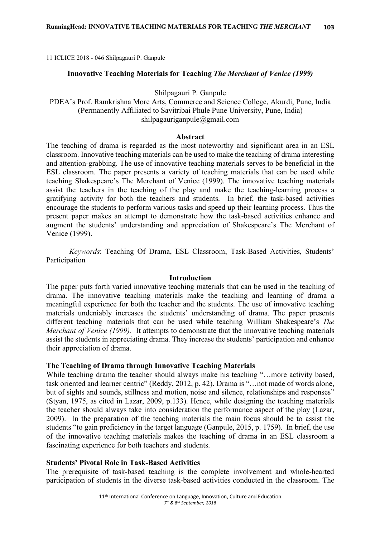11 ICLICE 2018 - 046 Shilpagauri P. Ganpule

### **Innovative Teaching Materials for Teaching** *The Merchant of Venice (1999)*

Shilpagauri P. Ganpule

PDEA's Prof. Ramkrishna More Arts, Commerce and Science College, Akurdi, Pune, India (Permanently Affiliated to Savitribai Phule Pune University, Pune, India) shilpagauriganpule@gmail.com

#### **Abstract**

The teaching of drama is regarded as the most noteworthy and significant area in an ESL classroom. Innovative teaching materials can be used to make the teaching of drama interesting and attention-grabbing. The use of innovative teaching materials serves to be beneficial in the ESL classroom. The paper presents a variety of teaching materials that can be used while teaching Shakespeare's The Merchant of Venice (1999). The innovative teaching materials assist the teachers in the teaching of the play and make the teaching-learning process a gratifying activity for both the teachers and students. In brief, the task-based activities encourage the students to perform various tasks and speed up their learning process. Thus the present paper makes an attempt to demonstrate how the task-based activities enhance and augment the students' understanding and appreciation of Shakespeare's The Merchant of Venice (1999).

*Keywords*: Teaching Of Drama, ESL Classroom, Task-Based Activities, Students' Participation

#### **Introduction**

The paper puts forth varied innovative teaching materials that can be used in the teaching of drama. The innovative teaching materials make the teaching and learning of drama a meaningful experience for both the teacher and the students. The use of innovative teaching materials undeniably increases the students' understanding of drama. The paper presents different teaching materials that can be used while teaching William Shakespeare's *The Merchant of Venice (1999).* It attempts to demonstrate that the innovative teaching materials assist the students in appreciating drama. They increase the students' participation and enhance their appreciation of drama.

#### **The Teaching of Drama through Innovative Teaching Materials**

While teaching drama the teacher should always make his teaching "…more activity based, task oriented and learner centric" (Reddy, 2012, p. 42). Drama is "…not made of words alone, but of sights and sounds, stillness and motion, noise and silence, relationships and responses" (Styan, 1975, as cited in Lazar, 2009, p.133). Hence, while designing the teaching materials the teacher should always take into consideration the performance aspect of the play (Lazar, 2009). In the preparation of the teaching materials the main focus should be to assist the students "to gain proficiency in the target language (Ganpule, 2015, p. 1759). In brief, the use of the innovative teaching materials makes the teaching of drama in an ESL classroom a fascinating experience for both teachers and students.

#### **Students' Pivotal Role in Task-Based Activities**

The prerequisite of task-based teaching is the complete involvement and whole-hearted participation of students in the diverse task-based activities conducted in the classroom. The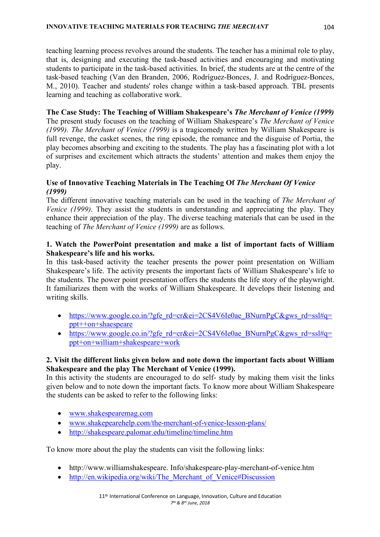teaching learning process revolves around the students. The teacher has a minimal role to play, that is, designing and executing the task-based activities and encouraging and motivating students to participate in the task-based activities. In brief, the students are at the centre of the task-based teaching (Van den Branden, 2006, Rodríguez-Bonces, J. and Rodríguez-Bonces, M., 2010). Teacher and students' roles change within a task-based approach. TBL presents learning and teaching as collaborative work.

**The Case Study: The Teaching of William Shakespeare's** *The Merchant of Venice (1999)* The present study focuses on the teaching of William Shakespeare's *The Merchant of Venice (1999). The Merchant of Venice (1999)* is a tragicomedy written by William Shakespeare is full revenge, the casket scenes, the ring episode, the romance and the disguise of Portia, the play becomes absorbing and exciting to the students. The play has a fascinating plot with a lot of surprises and excitement which attracts the students' attention and makes them enjoy the play.

# **Use of Innovative Teaching Materials in The Teaching Of** *The Merchant Of Venice (1999)*

The different innovative teaching materials can be used in the teaching of *The Merchant of Venice (1999)*. They assist the students in understanding and appreciating the play. They enhance their appreciation of the play. The diverse teaching materials that can be used in the teaching of *The Merchant of Venice (1999)* are as follows.

### **1. Watch the PowerPoint presentation and make a list of important facts of William Shakespeare's life and his works.**

In this task-based activity the teacher presents the power point presentation on William Shakespeare's life. The activity presents the important facts of William Shakespeare's life to the students. The power point presentation offers the students the life story of the playwright. It familiarizes them with the works of William Shakespeare. It develops their listening and writing skills.

- https://www.google.co.in/?gfe\_rd=cr&ei=2CS4V6Ie0ae\_BNurnPgC&gws\_rd=ssl#q= ppt++on+shaespeare
- https://www.google.co.in/?gfe\_rd=cr&ei=2CS4V6Ie0ae\_BNurnPgC&gws\_rd=ssl#q= ppt+on+william+shakespeare+work

# **2. Visit the different links given below and note down the important facts about William Shakespeare and the play The Merchant of Venice (1999).**

In this activity the students are encouraged to do self- study by making them visit the links given below and to note down the important facts. To know more about William Shakespeare the students can be asked to refer to the following links:

- www.shakespearemag.com
- www.shakepearehelp.com/the-merchant-of-venice-lesson-plans/
- http://shakespeare.palomar.edu/timeline/timeline.htm

To know more about the play the students can visit the following links:

- http://www.williamshakespeare. Info/shakespeare-play-merchant-of-venice.htm
- http://en.wikipedia.org/wiki/The Merchant of Venice#Discussion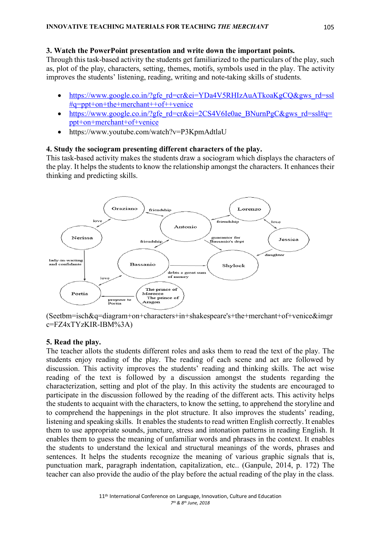### **3. Watch the PowerPoint presentation and write down the important points.**

Through this task-based activity the students get familiarized to the particulars of the play, such as, plot of the play, characters, setting, themes, motifs, symbols used in the play. The activity improves the students' listening, reading, writing and note-taking skills of students.

- https://www.google.co.in/?gfe\_rd=cr&ei=YDa4V5RHIzAuATkoaKgCQ&gws\_rd=ssl #q=ppt+on+the+merchant++of++venice
- https://www.google.co.in/?gfe\_rd=cr&ei=2CS4V6Ie0ae\_BNurnPgC&gws\_rd=ssl#q= ppt+on+merchant+of+venice
- https://www.youtube.com/watch?v=P3KpmAdtlaU

# **4. Study the sociogram presenting different characters of the play.**

This task-based activity makes the students draw a sociogram which displays the characters of the play. It helps the students to know the relationship amongst the characters. It enhances their thinking and predicting skills.



(Seetbm=isch&q=diagram+on+characters+in+shakespeare's+the+merchant+of+venice&imgr c=FZ4xTYzKIR-IBM%3A)

# **5. Read the play.**

The teacher allots the students different roles and asks them to read the text of the play. The students enjoy reading of the play. The reading of each scene and act are followed by discussion. This activity improves the students' reading and thinking skills. The act wise reading of the text is followed by a discussion amongst the students regarding the characterization, setting and plot of the play. In this activity the students are encouraged to participate in the discussion followed by the reading of the different acts. This activity helps the students to acquaint with the characters, to know the setting, to apprehend the storyline and to comprehend the happenings in the plot structure. It also improves the students' reading, listening and speaking skills. It enables the students to read written English correctly. It enables them to use appropriate sounds, juncture, stress and intonation patterns in reading English. It enables them to guess the meaning of unfamiliar words and phrases in the context. It enables the students to understand the lexical and structural meanings of the words, phrases and sentences. It helps the students recognize the meaning of various graphic signals that is, punctuation mark, paragraph indentation, capitalization, etc.. (Ganpule, 2014, p. 172) The teacher can also provide the audio of the play before the actual reading of the play in the class.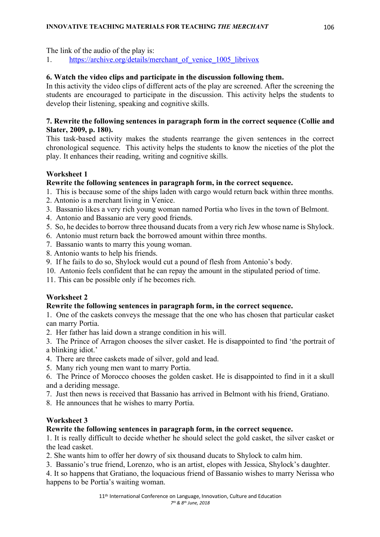The link of the audio of the play is:

1. https://archive.org/details/merchant\_of\_venice\_1005\_librivox

# **6. Watch the video clips and participate in the discussion following them.**

In this activity the video clips of different acts of the play are screened. After the screening the students are encouraged to participate in the discussion. This activity helps the students to develop their listening, speaking and cognitive skills.

# **7. Rewrite the following sentences in paragraph form in the correct sequence (Collie and Slater, 2009, p. 180).**

This task-based activity makes the students rearrange the given sentences in the correct chronological sequence. This activity helps the students to know the niceties of the plot the play. It enhances their reading, writing and cognitive skills.

# **Worksheet 1**

# **Rewrite the following sentences in paragraph form, in the correct sequence.**

- 1. This is because some of the ships laden with cargo would return back within three months.
- 2. Antonio is a merchant living in Venice.
- 3. Bassanio likes a very rich young woman named Portia who lives in the town of Belmont.
- 4. Antonio and Bassanio are very good friends.
- 5. So, he decides to borrow three thousand ducats from a very rich Jew whose name is Shylock.
- 6. Antonio must return back the borrowed amount within three months.
- 7. Bassanio wants to marry this young woman.
- 8. Antonio wants to help his friends.
- 9. If he fails to do so, Shylock would cut a pound of flesh from Antonio's body.
- 10. Antonio feels confident that he can repay the amount in the stipulated period of time.
- 11. This can be possible only if he becomes rich.

# **Worksheet 2**

# **Rewrite the following sentences in paragraph form, in the correct sequence.**

1. One of the caskets conveys the message that the one who has chosen that particular casket can marry Portia.

- 2. Her father has laid down a strange condition in his will.
- 3. The Prince of Arragon chooses the silver casket. He is disappointed to find 'the portrait of a blinking idiot.'
- 4. There are three caskets made of silver, gold and lead.
- 5. Many rich young men want to marry Portia.

6. The Prince of Morocco chooses the golden casket. He is disappointed to find in it a skull and a deriding message.

- 7. Just then news is received that Bassanio has arrived in Belmont with his friend, Gratiano.
- 8. He announces that he wishes to marry Portia.

# **Worksheet 3**

# **Rewrite the following sentences in paragraph form, in the correct sequence.**

1. It is really difficult to decide whether he should select the gold casket, the silver casket or the lead casket.

2. She wants him to offer her dowry of six thousand ducats to Shylock to calm him.

3. Bassanio's true friend, Lorenzo, who is an artist, elopes with Jessica, Shylock's daughter.

4. It so happens that Gratiano, the loquacious friend of Bassanio wishes to marry Nerissa who happens to be Portia's waiting woman.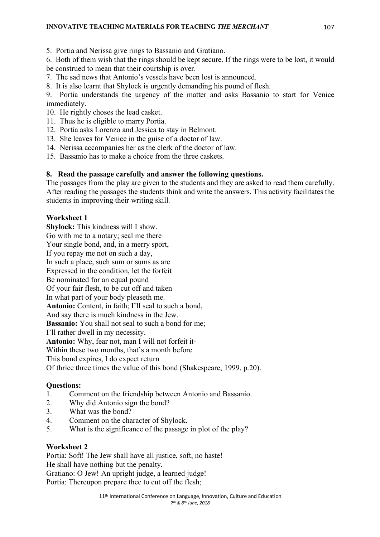5. Portia and Nerissa give rings to Bassanio and Gratiano.

6. Both of them wish that the rings should be kept secure. If the rings were to be lost, it would be construed to mean that their courtship is over.

7. The sad news that Antonio's vessels have been lost is announced.

8. It is also learnt that Shylock is urgently demanding his pound of flesh.

9. Portia understands the urgency of the matter and asks Bassanio to start for Venice immediately.

- 10. He rightly choses the lead casket.
- 11. Thus he is eligible to marry Portia.
- 12. Portia asks Lorenzo and Jessica to stay in Belmont.
- 13. She leaves for Venice in the guise of a doctor of law.
- 14. Nerissa accompanies her as the clerk of the doctor of law.
- 15. Bassanio has to make a choice from the three caskets.

# **8. Read the passage carefully and answer the following questions.**

The passages from the play are given to the students and they are asked to read them carefully. After reading the passages the students think and write the answers. This activity facilitates the students in improving their writing skill.

# **Worksheet 1**

**Shylock:** This kindness will I show. Go with me to a notary; seal me there Your single bond, and, in a merry sport, If you repay me not on such a day, In such a place, such sum or sums as are Expressed in the condition, let the forfeit Be nominated for an equal pound Of your fair flesh, to be cut off and taken In what part of your body pleaseth me. **Antonio:** Content, in faith; I'll seal to such a bond, And say there is much kindness in the Jew. **Bassanio:** You shall not seal to such a bond for me; I'll rather dwell in my necessity. **Antonio:** Why, fear not, man I will not forfeit it-Within these two months, that's a month before This bond expires, I do expect return Of thrice three times the value of this bond (Shakespeare, 1999, p.20).

# **Questions:**

- 1. Comment on the friendship between Antonio and Bassanio.
- 2. Why did Antonio sign the bond?
- 3. What was the bond?
- 4. Comment on the character of Shylock.
- 5. What is the significance of the passage in plot of the play?

# **Worksheet 2**

Portia: Soft! The Jew shall have all justice, soft, no haste! He shall have nothing but the penalty. Gratiano: O Jew! An upright judge, a learned judge!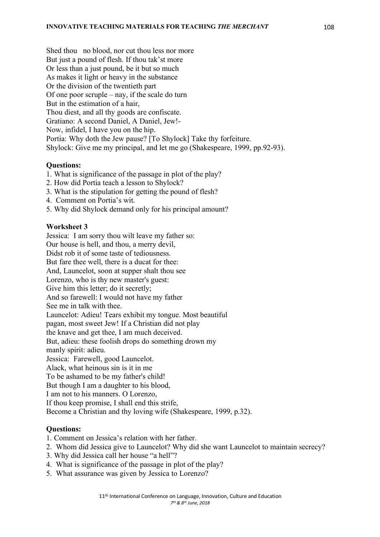Shed thou no blood, nor cut thou less nor more But just a pound of flesh. If thou tak'st more Or less than a just pound, be it but so much As makes it light or heavy in the substance Or the division of the twentieth part Of one poor scruple – nay, if the scale do turn But in the estimation of a hair, Thou diest, and all thy goods are confiscate. Gratiano: A second Daniel, A Daniel, Jew!- Now, infidel, I have you on the hip. Portia: Why doth the Jew pause? [To Shylock] Take thy forfeiture. Shylock: Give me my principal, and let me go (Shakespeare, 1999, pp.92-93).

### **Questions:**

- 1. What is significance of the passage in plot of the play?
- 2. How did Portia teach a lesson to Shylock?
- 3. What is the stipulation for getting the pound of flesh?
- 4. Comment on Portia's wit.
- 5. Why did Shylock demand only for his principal amount?

#### **Worksheet 3**

Jessica: I am sorry thou wilt leave my father so: Our house is hell, and thou, a merry devil, Didst rob it of some taste of tediousness. But fare thee well, there is a ducat for thee: And, Launcelot, soon at supper shalt thou see Lorenzo, who is thy new master's guest: Give him this letter; do it secretly; And so farewell: I would not have my father See me in talk with thee. Launcelot: Adieu! Tears exhibit my tongue. Most beautiful pagan, most sweet Jew! If a Christian did not play the knave and get thee, I am much deceived. But, adieu: these foolish drops do something drown my manly spirit: adieu. Jessica: Farewell, good Launcelot. Alack, what heinous sin is it in me To be ashamed to be my father's child! But though I am a daughter to his blood, I am not to his manners. O Lorenzo, If thou keep promise, I shall end this strife, Become a Christian and thy loving wife (Shakespeare, 1999, p.32).

#### **Questions:**

- 1. Comment on Jessica's relation with her father.
- 2. Whom did Jessica give to Launcelot? Why did she want Launcelot to maintain secrecy?
- 3. Why did Jessica call her house "a hell"?
- 4. What is significance of the passage in plot of the play?
- 5. What assurance was given by Jessica to Lorenzo?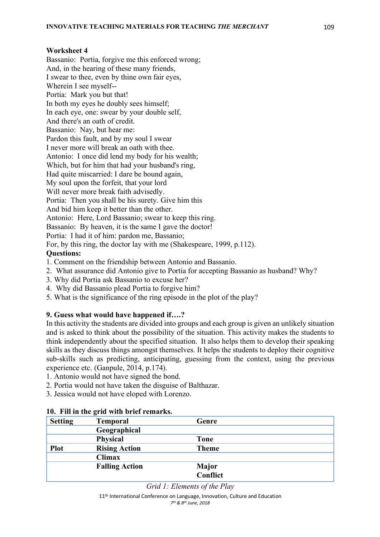### **Worksheet 4**

Bassanio: Portia, forgive me this enforced wrong; And, in the hearing of these many friends, I swear to thee, even by thine own fair eyes, Wherein I see myself-- Portia: Mark you but that! In both my eyes he doubly sees himself; In each eye, one: swear by your double self, And there's an oath of credit. Bassanio: Nay, but hear me: Pardon this fault, and by my soul I swear I never more will break an oath with thee. Antonio: I once did lend my body for his wealth; Which, but for him that had your husband's ring, Had quite miscarried: I dare be bound again, My soul upon the forfeit, that your lord Will never more break faith advisedly. Portia: Then you shall be his surety. Give him this And bid him keep it better than the other. Antonio: Here, Lord Bassanio; swear to keep this ring. Bassanio: By heaven, it is the same I gave the doctor! Portia: I had it of him: pardon me, Bassanio; For, by this ring, the doctor lay with me (Shakespeare, 1999, p.112). **Questions:** 

- 1. Comment on the friendship between Antonio and Bassanio.
- 2. What assurance did Antonio give to Portia for accepting Bassanio as husband? Why?
- 3. Why did Portia ask Bassanio to excuse her?
- 4. Why did Bassanio plead Portia to forgive him?
- 5. What is the significance of the ring episode in the plot of the play?

# **9. Guess what would have happened if….?**

In this activity the students are divided into groups and each group is given an unlikely situation and is asked to think about the possibility of the situation. This activity makes the students to think independently about the specified situation. It also helps them to develop their speaking skills as they discuss things amongst themselves. It helps the students to deploy their cognitive sub-skills such as predicting, anticipating, guessing from the context, using the previous experience etc. (Ganpule, 2014, p.174).

- 1. Antonio would not have signed the bond.
- 2. Portia would not have taken the disguise of Balthazar.
- 3. Jessica would not have eloped with Lorenzo.

| <b>Setting</b> | <b>Temporal</b>       | Genre        |
|----------------|-----------------------|--------------|
|                | Geographical          |              |
|                | <b>Physical</b>       | <b>Tone</b>  |
| <b>Plot</b>    | <b>Rising Action</b>  | <b>Theme</b> |
|                | <b>Climax</b>         |              |
|                | <b>Falling Action</b> | <b>Major</b> |
|                |                       | Conflict     |

### **10. Fill in the grid with brief remarks.**

*Grid 1: Elements of the Play*

11<sup>th</sup> International Conference on Language, Innovation, Culture and Education *7th & 8th June, 2018*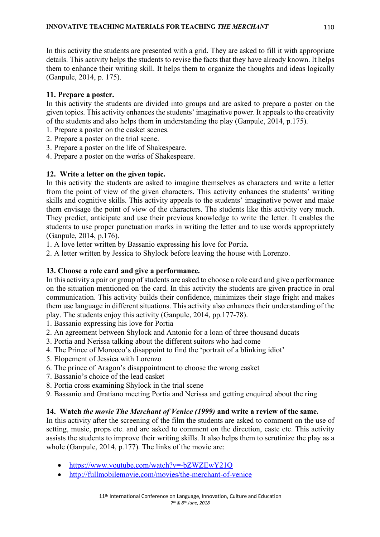In this activity the students are presented with a grid. They are asked to fill it with appropriate details. This activity helps the students to revise the facts that they have already known. It helps them to enhance their writing skill. It helps them to organize the thoughts and ideas logically (Ganpule, 2014, p. 175).

# **11. Prepare a poster.**

In this activity the students are divided into groups and are asked to prepare a poster on the given topics. This activity enhances the students' imaginative power. It appeals to the creativity of the students and also helps them in understanding the play (Ganpule, 2014, p.175).

- 1. Prepare a poster on the casket scenes.
- 2. Prepare a poster on the trial scene.
- 3. Prepare a poster on the life of Shakespeare.
- 4. Prepare a poster on the works of Shakespeare.

### **12. Write a letter on the given topic.**

In this activity the students are asked to imagine themselves as characters and write a letter from the point of view of the given characters. This activity enhances the students' writing skills and cognitive skills. This activity appeals to the students' imaginative power and make them envisage the point of view of the characters. The students like this activity very much. They predict, anticipate and use their previous knowledge to write the letter. It enables the students to use proper punctuation marks in writing the letter and to use words appropriately (Ganpule, 2014, p.176).

1. A love letter written by Bassanio expressing his love for Portia.

2. A letter written by Jessica to Shylock before leaving the house with Lorenzo.

### **13. Choose a role card and give a performance.**

In this activity a pair or group of students are asked to choose a role card and give a performance on the situation mentioned on the card. In this activity the students are given practice in oral communication. This activity builds their confidence, minimizes their stage fright and makes them use language in different situations. This activity also enhances their understanding of the play. The students enjoy this activity (Ganpule, 2014, pp.177-78).

- 1. Bassanio expressing his love for Portia
- 2. An agreement between Shylock and Antonio for a loan of three thousand ducats
- 3. Portia and Nerissa talking about the different suitors who had come
- 4. The Prince of Morocco's disappoint to find the 'portrait of a blinking idiot'
- 5. Elopement of Jessica with Lorenzo
- 6. The prince of Aragon's disappointment to choose the wrong casket
- 7. Bassanio's choice of the lead casket
- 8. Portia cross examining Shylock in the trial scene
- 9. Bassanio and Gratiano meeting Portia and Nerissa and getting enquired about the ring

# **14. Watch** *the movie The Merchant of Venice (1999)* **and write a review of the same.**

In this activity after the screening of the film the students are asked to comment on the use of setting, music, props etc. and are asked to comment on the direction, caste etc. This activity assists the students to improve their writing skills. It also helps them to scrutinize the play as a whole (Ganpule, 2014, p.177). The links of the movie are:

- https://www.youtube.com/watch?v=-bZWZEwY21Q
- http://fullmobilemovie.com/movies/the-merchant-of-venice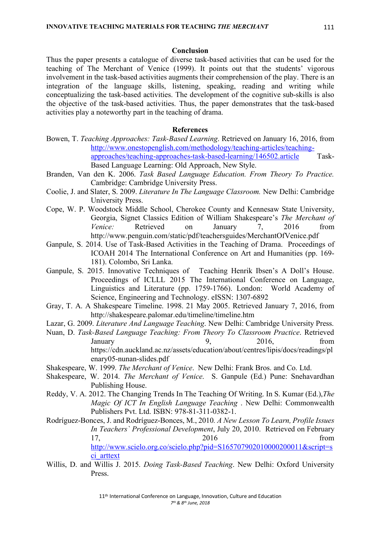#### **Conclusion**

Thus the paper presents a catalogue of diverse task-based activities that can be used for the teaching of The Merchant of Venice (1999). It points out that the students' vigorous involvement in the task-based activities augments their comprehension of the play. There is an integration of the language skills, listening, speaking, reading and writing while conceptualizing the task-based activities. The development of the cognitive sub-skills is also the objective of the task-based activities. Thus, the paper demonstrates that the task-based activities play a noteworthy part in the teaching of drama.

#### **References**

- Bowen, T. *Teaching Approaches: Task-Based Learning*. Retrieved on January 16, 2016, from http://www.onestopenglish.com/methodology/teaching-articles/teachingapproaches/teaching-approaches-task-based-learning/146502.article Task-Based Language Learning: Old Approach, New Style.
- Branden, Van den K. 2006. *Task Based Language Education. From Theory To Practice.* Cambridge: Cambridge University Press.
- Coolie, J. and Slater, S. 2009. *Literature In The Language Classroom.* New Delhi: Cambridge University Press.
- Cope, W. P. Woodstock Middle School, Cherokee County and Kennesaw State University, Georgia, Signet Classics Edition of William Shakespeare's *The Merchant of Venice:* Retrieved on January 7, 2016 from http://www.penguin.com/static/pdf/teachersguides/MerchantOfVenice.pdf
- Ganpule, S. 2014. Use of Task-Based Activities in the Teaching of Drama. Proceedings of ICOAH 2014 The International Conference on Art and Humanities (pp. 169- 181). Colombo, Sri Lanka.
- Ganpule, S. 2015. Innovative Techniques of Teaching Henrik Ibsen's A Doll's House. Proceedings of ICLLL 2015 The International Conference on Language, Linguistics and Literature (pp. 1759-1766). London: World Academy of Science, Engineering and Technology. eISSN: 1307-6892
- Gray, T. A. A Shakespeare Timeline. 1998. 21 May 2005. Retrieved January 7, 2016, from http://shakespeare.palomar.edu/timeline/timeline.htm
- Lazar, G. 2009. *Literature And Language Teaching*. New Delhi: Cambridge University Press.
- Nuan, D. *Task-Based Language Teaching: From Theory To Classroom Practice*. Retrieved January 9, 2016, from https://cdn.auckland.ac.nz/assets/education/about/centres/lipis/docs/readings/pl enary05-nunan-slides.pdf
- Shakespeare, W. 1999. *The Merchant of Venice*. New Delhi: Frank Bros. and Co. Ltd.
- Shakespeare, W. 2014. *The Merchant of Venice*. S. Ganpule (Ed.) Pune: Snehavardhan Publishing House.
- Reddy, V. A. 2012. The Changing Trends In The Teaching Of Writing. In S. Kumar (Ed.),*The Magic Of ICT In English Language Teaching* . New Delhi: Commonwealth Publishers Pvt. Ltd. ISBN: 978-81-311-0382-1.
- Rodríguez-Bonces, J. and Rodríguez-Bonces, M., 2010*. A New Lesson To Learn, Profile Issues In Teachers` Professional Development*, July 20, 2010. Retrieved on February 17, 2016 from http://www.scielo.org.co/scielo.php?pid=S165707902010000200011&script=s ci\_arttext
- Willis, D. and Willis J. 2015. *Doing Task-Based Teaching*. New Delhi: Oxford University Press.